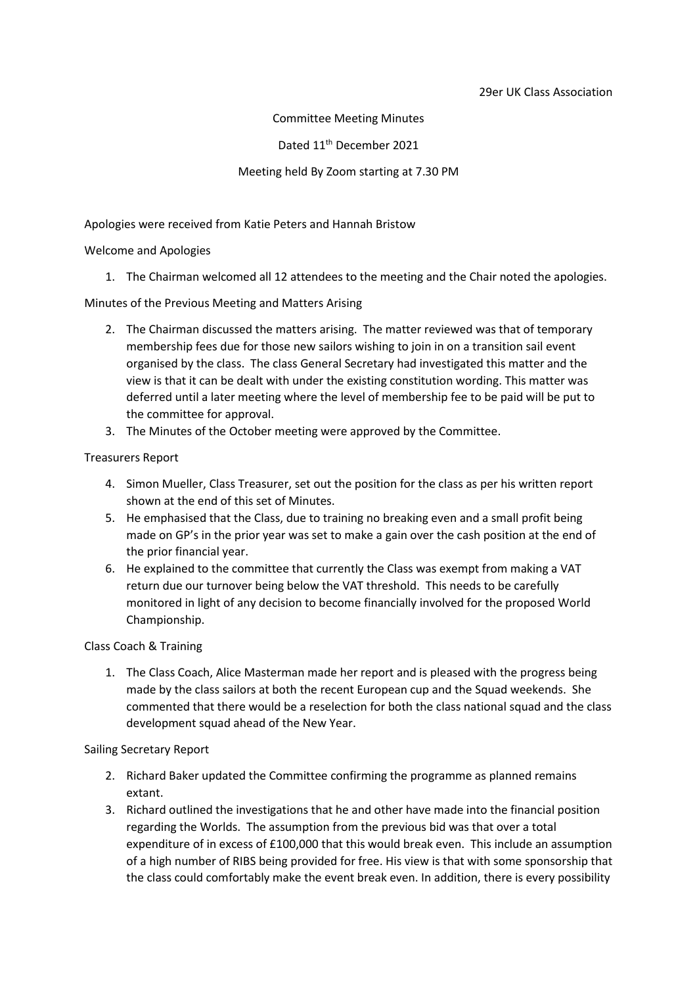#### 29er UK Class Association

Committee Meeting Minutes

Dated 11<sup>th</sup> December 2021

## Meeting held By Zoom starting at 7.30 PM

Apologies were received from Katie Peters and Hannah Bristow

## Welcome and Apologies

1. The Chairman welcomed all 12 attendees to the meeting and the Chair noted the apologies.

Minutes of the Previous Meeting and Matters Arising

- 2. The Chairman discussed the matters arising. The matter reviewed was that of temporary membership fees due for those new sailors wishing to join in on a transition sail event organised by the class. The class General Secretary had investigated this matter and the view is that it can be dealt with under the existing constitution wording. This matter was deferred until a later meeting where the level of membership fee to be paid will be put to the committee for approval.
- 3. The Minutes of the October meeting were approved by the Committee.

## Treasurers Report

- 4. Simon Mueller, Class Treasurer, set out the position for the class as per his written report shown at the end of this set of Minutes.
- 5. He emphasised that the Class, due to training no breaking even and a small profit being made on GP's in the prior year was set to make a gain over the cash position at the end of the prior financial year.
- 6. He explained to the committee that currently the Class was exempt from making a VAT return due our turnover being below the VAT threshold. This needs to be carefully monitored in light of any decision to become financially involved for the proposed World Championship.

# Class Coach & Training

1. The Class Coach, Alice Masterman made her report and is pleased with the progress being made by the class sailors at both the recent European cup and the Squad weekends. She commented that there would be a reselection for both the class national squad and the class development squad ahead of the New Year.

#### Sailing Secretary Report

- 2. Richard Baker updated the Committee confirming the programme as planned remains extant.
- 3. Richard outlined the investigations that he and other have made into the financial position regarding the Worlds. The assumption from the previous bid was that over a total expenditure of in excess of £100,000 that this would break even. This include an assumption of a high number of RIBS being provided for free. His view is that with some sponsorship that the class could comfortably make the event break even. In addition, there is every possibility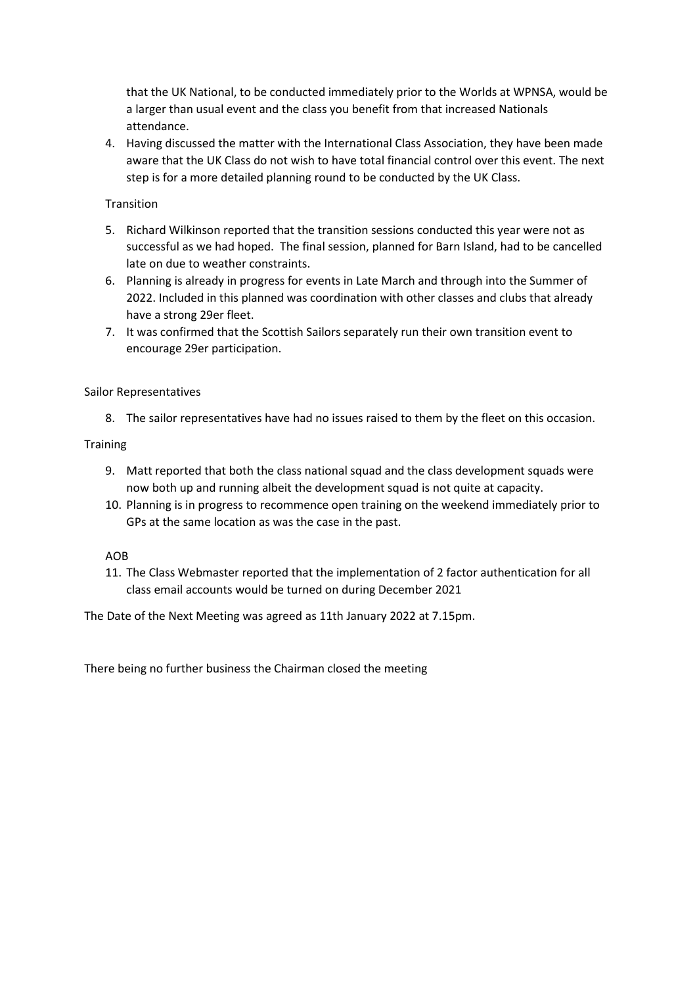that the UK National, to be conducted immediately prior to the Worlds at WPNSA, would be a larger than usual event and the class you benefit from that increased Nationals attendance.

4. Having discussed the matter with the International Class Association, they have been made aware that the UK Class do not wish to have total financial control over this event. The next step is for a more detailed planning round to be conducted by the UK Class.

## **Transition**

- 5. Richard Wilkinson reported that the transition sessions conducted this year were not as successful as we had hoped. The final session, planned for Barn Island, had to be cancelled late on due to weather constraints.
- 6. Planning is already in progress for events in Late March and through into the Summer of 2022. Included in this planned was coordination with other classes and clubs that already have a strong 29er fleet.
- 7. It was confirmed that the Scottish Sailors separately run their own transition event to encourage 29er participation.

## Sailor Representatives

8. The sailor representatives have had no issues raised to them by the fleet on this occasion.

## **Training**

- 9. Matt reported that both the class national squad and the class development squads were now both up and running albeit the development squad is not quite at capacity.
- 10. Planning is in progress to recommence open training on the weekend immediately prior to GPs at the same location as was the case in the past.

#### AOB

11. The Class Webmaster reported that the implementation of 2 factor authentication for all class email accounts would be turned on during December 2021

The Date of the Next Meeting was agreed as 11th January 2022 at 7.15pm.

There being no further business the Chairman closed the meeting